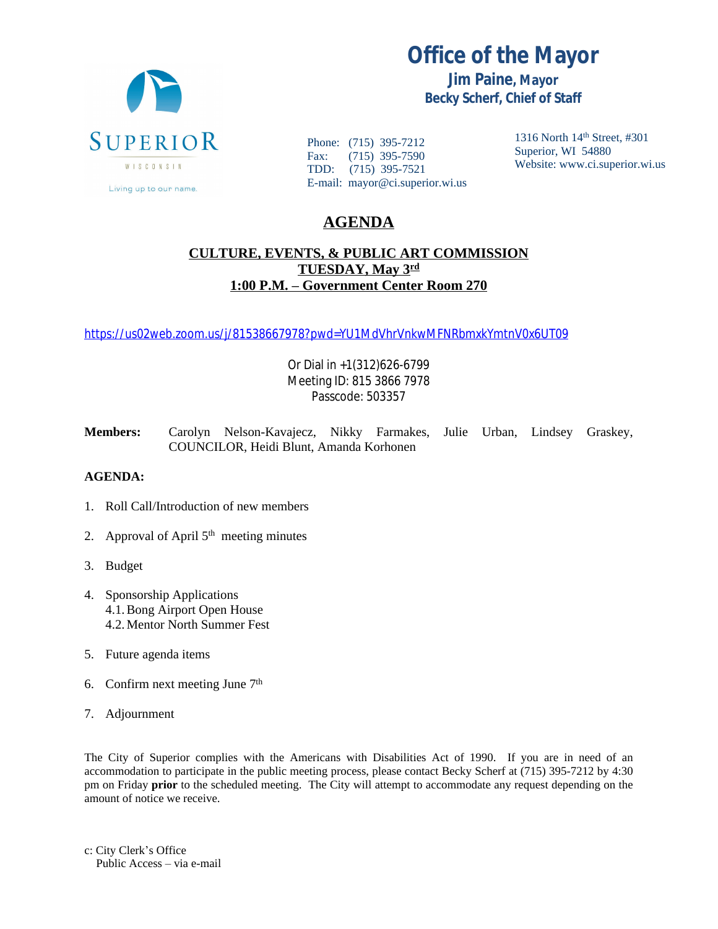

Living up to our name.

Phone: (715) 395-7212 Fax: (715) 395-7590 TDD: (715) 395-7521 E-mail: mayor@ci.superior.wi.us 1316 North 14th Street, #301 Superior, WI 54880 Website: www.ci.superior.wi.us

## **AGENDA**

## **CULTURE, EVENTS, & PUBLIC ART COMMISSION TUESDAY, May 3rd 1:00 P.M. – Government Center Room 270**

<https://us02web.zoom.us/j/81538667978?pwd=YU1MdVhrVnkwMFNRbmxkYmtnV0x6UT09>

Or Dial in +1(312)626-6799 Meeting ID: 815 3866 7978 Passcode: 503357

**Members:** Carolyn Nelson-Kavajecz, Nikky Farmakes, Julie Urban, Lindsey Graskey, COUNCILOR, Heidi Blunt, Amanda Korhonen

## **AGENDA:**

- 1. Roll Call/Introduction of new members
- 2. Approval of April  $5<sup>th</sup>$  meeting minutes
- 3. Budget
- 4. Sponsorship Applications 4.1.Bong Airport Open House 4.2.Mentor North Summer Fest
- 5. Future agenda items
- 6. Confirm next meeting June 7th
- 7. Adjournment

The City of Superior complies with the Americans with Disabilities Act of 1990. If you are in need of an accommodation to participate in the public meeting process, please contact Becky Scherf at (715) 395-7212 by 4:30 pm on Friday **prior** to the scheduled meeting. The City will attempt to accommodate any request depending on the amount of notice we receive.

c: City Clerk's Office Public Access – via e-mail

## **Office of the Mayor**

**Jim Paine, Mayor Becky Scherf, Chief of Staff**